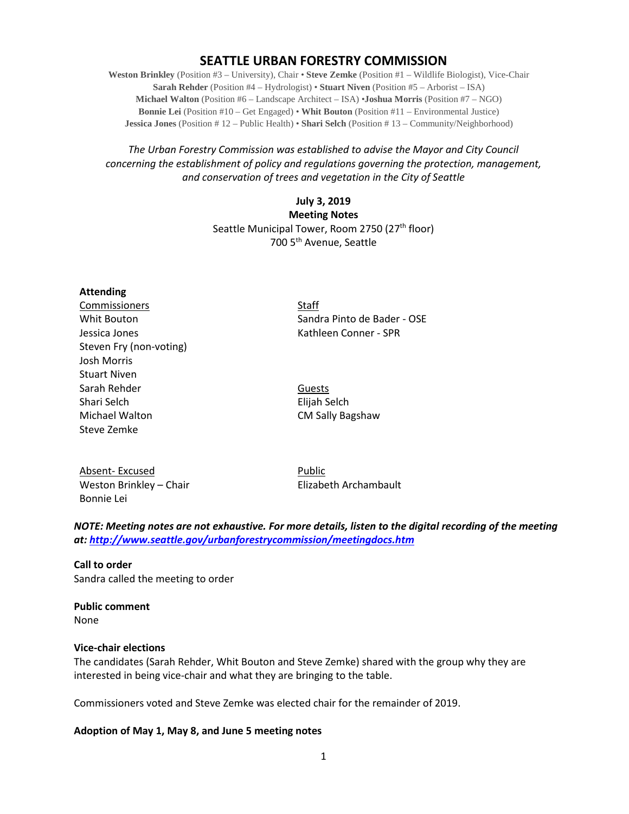# **SEATTLE URBAN FORESTRY COMMISSION**

**Weston Brinkley** (Position #3 – University), Chair • **Steve Zemke** (Position #1 – Wildlife Biologist), Vice-Chair **Sarah Rehder** (Position #4 – Hydrologist) • **Stuart Niven** (Position #5 – Arborist – ISA) **Michael Walton** (Position #6 – Landscape Architect – ISA) •**Joshua Morris** (Position #7 – NGO) **Bonnie Lei** (Position #10 – Get Engaged) • **Whit Bouton** (Position #11 – Environmental Justice) **Jessica Jones** (Position # 12 – Public Health) • **Shari Selch** (Position # 13 – Community/Neighborhood)

### *The Urban Forestry Commission was established to advise the Mayor and City Council concerning the establishment of policy and regulations governing the protection, management, and conservation of trees and vegetation in the City of Seattle*

## **July 3, 2019 Meeting Notes** Seattle Municipal Tower, Room 2750 (27<sup>th</sup> floor) 700 5th Avenue, Seattle

**Attending Commissioners** Staff Jessica Jones **Kathleen Conner - SPR** Steven Fry (non-voting) Josh Morris Stuart Niven Sarah Rehder Guests Shari Selch Elijah Selch Michael Walton **CM Sally Bagshaw** Steve Zemke

Whit Bouton Sandra Pinto de Bader - OSE

Absent- Excused Public Weston Brinkley – Chair Elizabeth Archambault Bonnie Lei

*NOTE: Meeting notes are not exhaustive. For more details, listen to the digital recording of the meeting at:<http://www.seattle.gov/urbanforestrycommission/meetingdocs.htm>*

**Call to order**  Sandra called the meeting to order

**Public comment** None

#### **Vice-chair elections**

The candidates (Sarah Rehder, Whit Bouton and Steve Zemke) shared with the group why they are interested in being vice-chair and what they are bringing to the table.

Commissioners voted and Steve Zemke was elected chair for the remainder of 2019.

#### **Adoption of May 1, May 8, and June 5 meeting notes**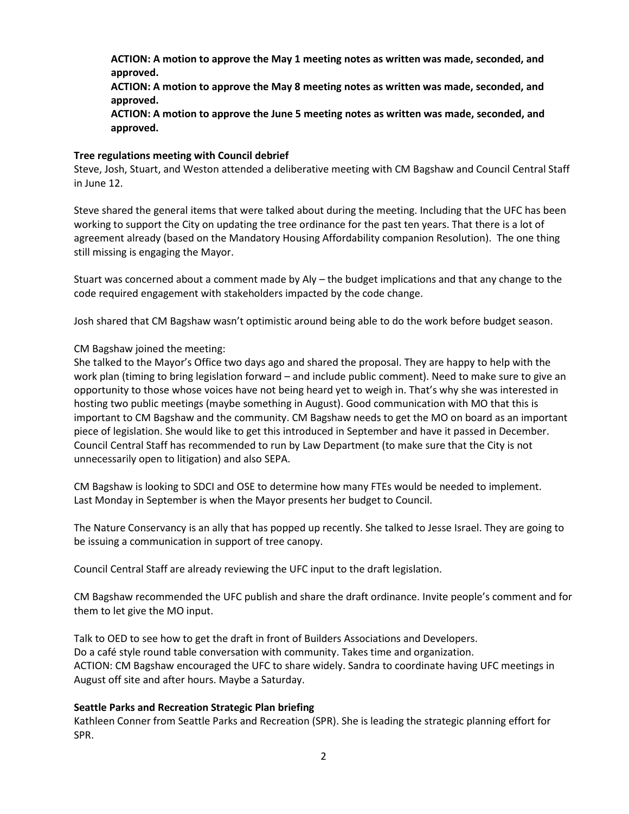**ACTION: A motion to approve the May 1 meeting notes as written was made, seconded, and approved.**

**ACTION: A motion to approve the May 8 meeting notes as written was made, seconded, and approved.**

**ACTION: A motion to approve the June 5 meeting notes as written was made, seconded, and approved.**

#### **Tree regulations meeting with Council debrief**

Steve, Josh, Stuart, and Weston attended a deliberative meeting with CM Bagshaw and Council Central Staff in June 12.

Steve shared the general items that were talked about during the meeting. Including that the UFC has been working to support the City on updating the tree ordinance for the past ten years. That there is a lot of agreement already (based on the Mandatory Housing Affordability companion Resolution). The one thing still missing is engaging the Mayor.

Stuart was concerned about a comment made by Aly – the budget implications and that any change to the code required engagement with stakeholders impacted by the code change.

Josh shared that CM Bagshaw wasn't optimistic around being able to do the work before budget season.

### CM Bagshaw joined the meeting:

She talked to the Mayor's Office two days ago and shared the proposal. They are happy to help with the work plan (timing to bring legislation forward – and include public comment). Need to make sure to give an opportunity to those whose voices have not being heard yet to weigh in. That's why she was interested in hosting two public meetings (maybe something in August). Good communication with MO that this is important to CM Bagshaw and the community. CM Bagshaw needs to get the MO on board as an important piece of legislation. She would like to get this introduced in September and have it passed in December. Council Central Staff has recommended to run by Law Department (to make sure that the City is not unnecessarily open to litigation) and also SEPA.

CM Bagshaw is looking to SDCI and OSE to determine how many FTEs would be needed to implement. Last Monday in September is when the Mayor presents her budget to Council.

The Nature Conservancy is an ally that has popped up recently. She talked to Jesse Israel. They are going to be issuing a communication in support of tree canopy.

Council Central Staff are already reviewing the UFC input to the draft legislation.

CM Bagshaw recommended the UFC publish and share the draft ordinance. Invite people's comment and for them to let give the MO input.

Talk to OED to see how to get the draft in front of Builders Associations and Developers. Do a café style round table conversation with community. Takes time and organization. ACTION: CM Bagshaw encouraged the UFC to share widely. Sandra to coordinate having UFC meetings in August off site and after hours. Maybe a Saturday.

### **Seattle Parks and Recreation Strategic Plan briefing**

Kathleen Conner from Seattle Parks and Recreation (SPR). She is leading the strategic planning effort for SPR.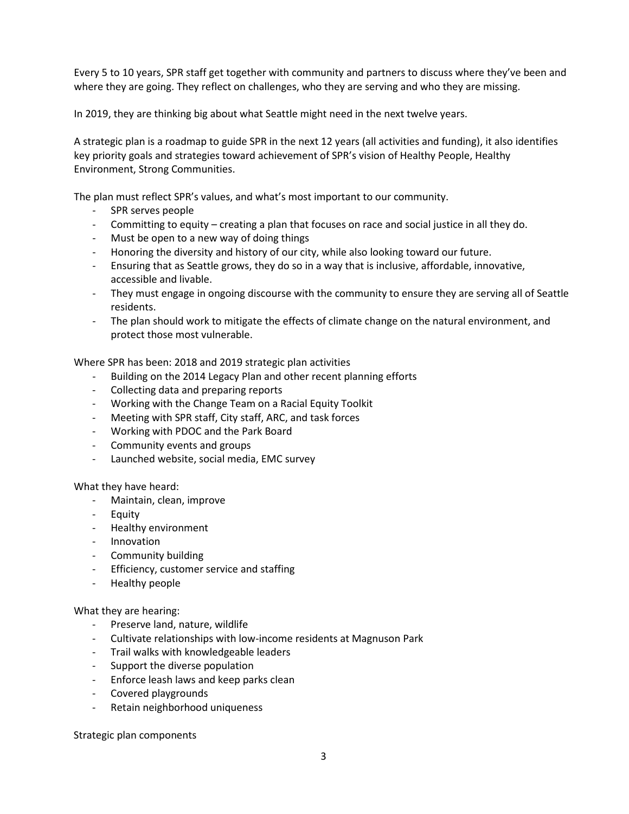Every 5 to 10 years, SPR staff get together with community and partners to discuss where they've been and where they are going. They reflect on challenges, who they are serving and who they are missing.

In 2019, they are thinking big about what Seattle might need in the next twelve years.

A strategic plan is a roadmap to guide SPR in the next 12 years (all activities and funding), it also identifies key priority goals and strategies toward achievement of SPR's vision of Healthy People, Healthy Environment, Strong Communities.

The plan must reflect SPR's values, and what's most important to our community.

- SPR serves people
- Committing to equity creating a plan that focuses on race and social justice in all they do.
- Must be open to a new way of doing things
- Honoring the diversity and history of our city, while also looking toward our future.
- Ensuring that as Seattle grows, they do so in a way that is inclusive, affordable, innovative, accessible and livable.
- They must engage in ongoing discourse with the community to ensure they are serving all of Seattle residents.
- The plan should work to mitigate the effects of climate change on the natural environment, and protect those most vulnerable.

Where SPR has been: 2018 and 2019 strategic plan activities

- Building on the 2014 Legacy Plan and other recent planning efforts
- Collecting data and preparing reports
- Working with the Change Team on a Racial Equity Toolkit
- Meeting with SPR staff, City staff, ARC, and task forces
- Working with PDOC and the Park Board
- Community events and groups
- Launched website, social media, EMC survey

What they have heard:

- Maintain, clean, improve
- Equity
- Healthy environment
- Innovation
- Community building
- Efficiency, customer service and staffing
- Healthy people

What they are hearing:

- Preserve land, nature, wildlife
- Cultivate relationships with low-income residents at Magnuson Park
- Trail walks with knowledgeable leaders
- Support the diverse population
- Enforce leash laws and keep parks clean
- Covered playgrounds
- Retain neighborhood uniqueness

Strategic plan components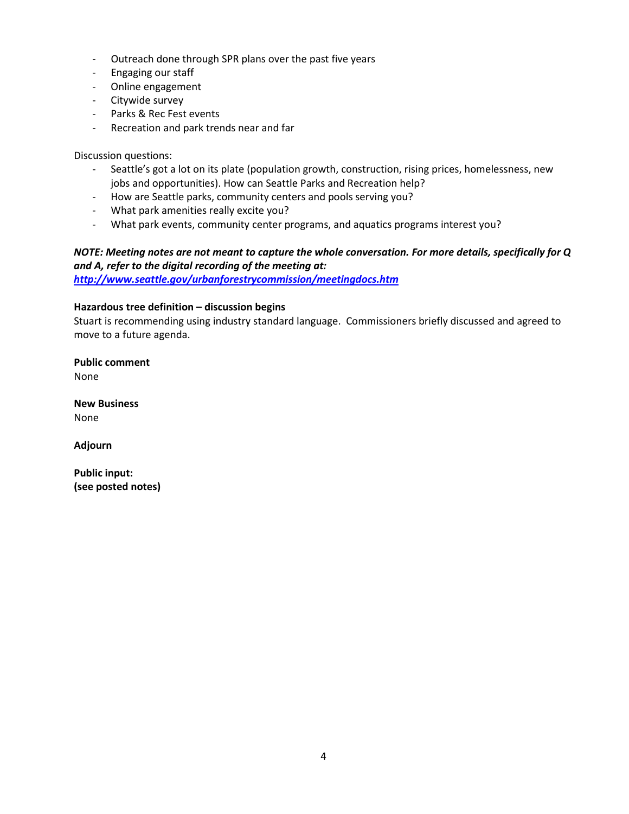- Outreach done through SPR plans over the past five years
- Engaging our staff
- Online engagement
- Citywide survey
- Parks & Rec Fest events
- Recreation and park trends near and far

Discussion questions:

- Seattle's got a lot on its plate (population growth, construction, rising prices, homelessness, new jobs and opportunities). How can Seattle Parks and Recreation help?
- How are Seattle parks, community centers and pools serving you?
- What park amenities really excite you?
- What park events, community center programs, and aquatics programs interest you?

# *NOTE: Meeting notes are not meant to capture the whole conversation. For more details, specifically for Q and A, refer to the digital recording of the meeting at:*

*<http://www.seattle.gov/urbanforestrycommission/meetingdocs.htm>*

#### **Hazardous tree definition – discussion begins**

Stuart is recommending using industry standard language. Commissioners briefly discussed and agreed to move to a future agenda.

**Public comment** None

**New Business** None

**Adjourn**

**Public input: (see posted notes)**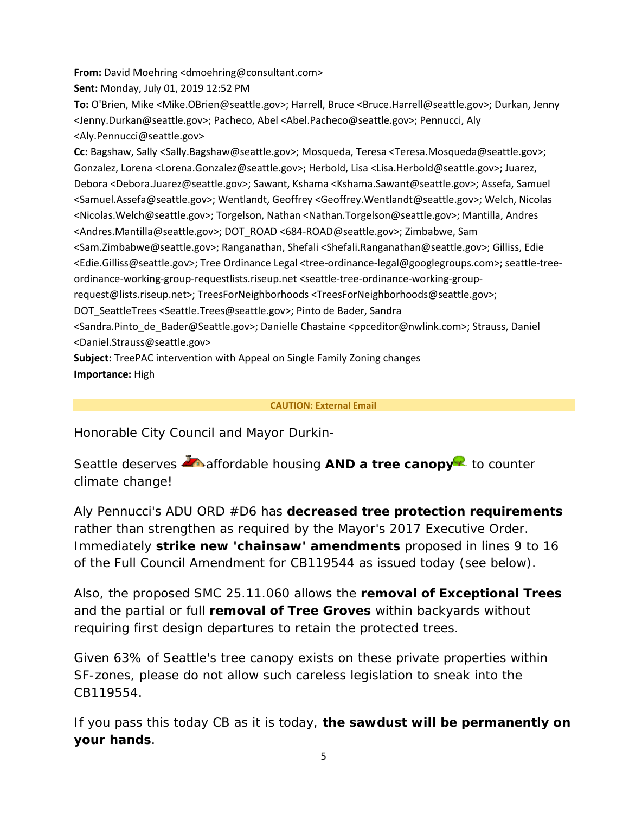**From:** David Moehring <dmoehring@consultant.com>

**Sent:** Monday, July 01, 2019 12:52 PM

**To:** O'Brien, Mike <Mike.OBrien@seattle.gov>; Harrell, Bruce <Bruce.Harrell@seattle.gov>; Durkan, Jenny <Jenny.Durkan@seattle.gov>; Pacheco, Abel <Abel.Pacheco@seattle.gov>; Pennucci, Aly <Aly.Pennucci@seattle.gov>

**Cc:** Bagshaw, Sally <Sally.Bagshaw@seattle.gov>; Mosqueda, Teresa <Teresa.Mosqueda@seattle.gov>; Gonzalez, Lorena <Lorena.Gonzalez@seattle.gov>; Herbold, Lisa <Lisa.Herbold@seattle.gov>; Juarez, Debora <Debora.Juarez@seattle.gov>; Sawant, Kshama <Kshama.Sawant@seattle.gov>; Assefa, Samuel <Samuel.Assefa@seattle.gov>; Wentlandt, Geoffrey <Geoffrey.Wentlandt@seattle.gov>; Welch, Nicolas <Nicolas.Welch@seattle.gov>; Torgelson, Nathan <Nathan.Torgelson@seattle.gov>; Mantilla, Andres <Andres.Mantilla@seattle.gov>; DOT\_ROAD <684-ROAD@seattle.gov>; Zimbabwe, Sam <Sam.Zimbabwe@seattle.gov>; Ranganathan, Shefali <Shefali.Ranganathan@seattle.gov>; Gilliss, Edie <Edie.Gilliss@seattle.gov>; Tree Ordinance Legal <tree-ordinance-legal@googlegroups.com>; seattle-treeordinance-working-group-requestlists.riseup.net <seattle-tree-ordinance-working-grouprequest@lists.riseup.net>; TreesForNeighborhoods <TreesForNeighborhoods@seattle.gov>; DOT\_SeattleTrees <Seattle.Trees@seattle.gov>; Pinto de Bader, Sandra

<Sandra.Pinto\_de\_Bader@Seattle.gov>; Danielle Chastaine <ppceditor@nwlink.com>; Strauss, Daniel <Daniel.Strauss@seattle.gov>

**Subject:** TreePAC intervention with Appeal on Single Family Zoning changes **Importance:** High

## **CAUTION: External Email**

Honorable City Council and Mayor Durkin-

Seattle deserves **A**naffordable housing **AND a tree canopy**<sup>12</sup> to counter climate change!

Aly Pennucci's ADU ORD #D6 has **decreased tree protection requirements** rather than strengthen as required by the Mayor's 2017 Executive Order. Immediately **strike new 'chainsaw' amendments** proposed in lines 9 to 16 of the Full Council Amendment for CB119544 as issued today (see below).

Also, the proposed SMC 25.11.060 allows the **removal of Exceptional Trees** and the partial or full **removal of Tree Groves** within backyards without requiring first design departures to retain the protected trees.

Given 63% of Seattle's tree canopy exists on these private properties within SF-zones, please do not allow such careless legislation to sneak into the CB119554.

If you pass this today CB as it is today, *the sawdust will be permanently on your hands*.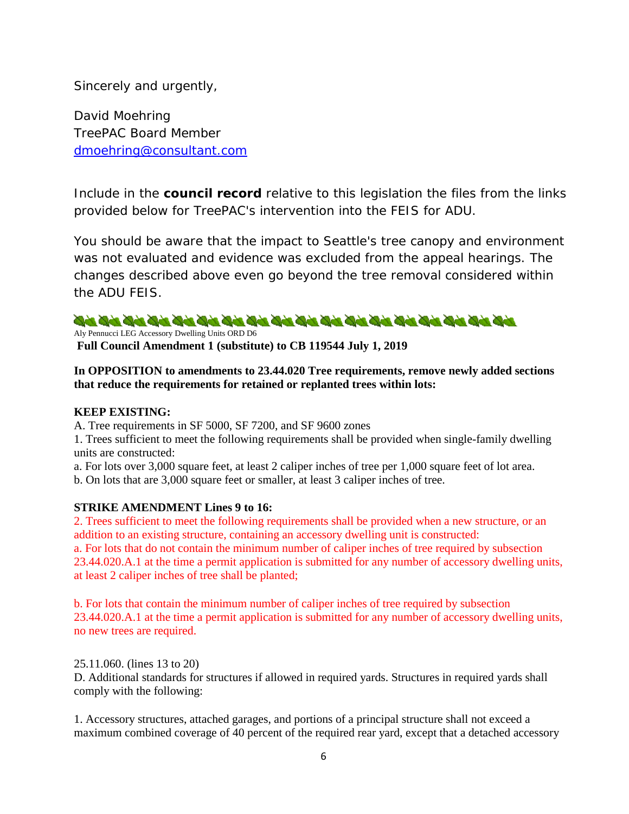Sincerely and urgently,

David Moehring TreePAC Board Member [dmoehring@consultant.com](mailto:dmoehring@consultant.com)

Include in the **council record** relative to this legislation the files from the links provided below for TreePAC's intervention into the FEIS for ADU.

You should be aware that the impact to Seattle's tree canopy and environment was not evaluated and evidence was excluded from the appeal hearings. The changes described above even go beyond the tree removal considered within the ADU FEIS.

# 

Aly Pennucci LEG Accessory Dwelling Units ORD D6

**Full Council Amendment 1 (substitute) to CB 119544 July 1, 2019** 

### **In OPPOSITION to amendments to 23.44.020 Tree requirements, remove newly added sections that reduce the requirements for retained or replanted trees within lots:**

### **KEEP EXISTING:**

A. Tree requirements in SF 5000, SF 7200, and SF 9600 zones

1. Trees sufficient to meet the following requirements shall be provided when single-family dwelling units are constructed:

a. For lots over 3,000 square feet, at least 2 caliper inches of tree per 1,000 square feet of lot area.

b. On lots that are 3,000 square feet or smaller, at least 3 caliper inches of tree.

### **STRIKE AMENDMENT Lines 9 to 16:**

2. Trees sufficient to meet the following requirements shall be provided when a new structure, or an addition to an existing structure, containing an accessory dwelling unit is constructed: a. For lots that do not contain the minimum number of caliper inches of tree required by subsection 23.44.020.A.1 at the time a permit application is submitted for any number of accessory dwelling units, at least 2 caliper inches of tree shall be planted;

b. For lots that contain the minimum number of caliper inches of tree required by subsection 23.44.020.A.1 at the time a permit application is submitted for any number of accessory dwelling units, no new trees are required.

25.11.060. (lines 13 to 20) D. Additional standards for structures if allowed in required yards. Structures in required yards shall comply with the following:

1. Accessory structures, attached garages, and portions of a principal structure shall not exceed a maximum combined coverage of 40 percent of the required rear yard, except that a detached accessory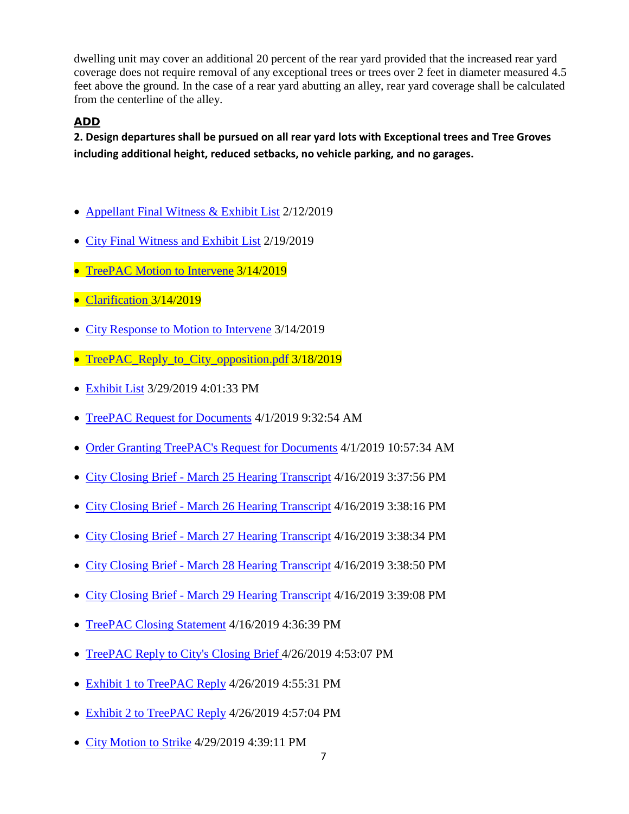dwelling unit may cover an additional 20 percent of the rear yard provided that the increased rear yard coverage does not require removal of any exceptional trees or trees over 2 feet in diameter measured 4.5 feet above the ground. In the case of a rear yard abutting an alley, rear yard coverage shall be calculated from the centerline of the alley.

# **ADD**

**2. Design departures shall be pursued on all rear yard lots with Exceptional trees and Tree Groves including additional height, reduced setbacks, no vehicle parking, and no garages.** 

- [Appellant Final Witness & Exhibit List](https://web6.seattle.gov/Examiner/case/document/11686) 2/12/2019
- [City Final Witness and Exhibit List](https://web6.seattle.gov/Examiner/case/document/11706) 2/19/2019
- [TreePAC Motion to Intervene](https://web6.seattle.gov/Examiner/case/document/11864) 3/14/2019
- [Clarification 3](https://web6.seattle.gov/Examiner/case/document/11865)/14/2019
- [City Response to Motion to Intervene](https://web6.seattle.gov/Examiner/case/document/11867) 3/14/2019
- [TreePAC\\_Reply\\_to\\_City\\_opposition.pdf](https://web6.seattle.gov/Examiner/case/document/11879) 3/18/2019
- [Exhibit List](https://web6.seattle.gov/Examiner/case/document/11951) 3/29/2019 4:01:33 PM
- [TreePAC Request for Documents](https://web6.seattle.gov/Examiner/case/document/11961) 4/1/2019 9:32:54 AM
- [Order Granting TreePAC's Request for Documents](https://web6.seattle.gov/Examiner/case/document/11963) 4/1/2019 10:57:34 AM
- City Closing Brief [March 25 Hearing Transcript](https://web6.seattle.gov/Examiner/case/document/11995) 4/16/2019 3:37:56 PM
- City Closing Brief [March 26 Hearing Transcript](https://web6.seattle.gov/Examiner/case/document/11996) 4/16/2019 3:38:16 PM
- City Closing Brief [March 27 Hearing Transcript](https://web6.seattle.gov/Examiner/case/document/11997) 4/16/2019 3:38:34 PM
- City Closing Brief [March 28 Hearing Transcript](https://web6.seattle.gov/Examiner/case/document/11998) 4/16/2019 3:38:50 PM
- City Closing Brief [March 29 Hearing Transcript](https://web6.seattle.gov/Examiner/case/document/11999) 4/16/2019 3:39:08 PM
- [TreePAC Closing Statement](https://web6.seattle.gov/Examiner/case/document/12000) 4/16/2019 4:36:39 PM
- [TreePAC Reply to City's Closing Brief 4](https://web6.seattle.gov/Examiner/case/document/12079)/26/2019 4:53:07 PM
- [Exhibit 1 to TreePAC Reply](https://web6.seattle.gov/Examiner/case/document/12080) 4/26/2019 4:55:31 PM
- [Exhibit 2 to TreePAC Reply](https://web6.seattle.gov/Examiner/case/document/12081) 4/26/2019 4:57:04 PM
- [City Motion to Strike](https://web6.seattle.gov/Examiner/case/document/12091) 4/29/2019 4:39:11 PM